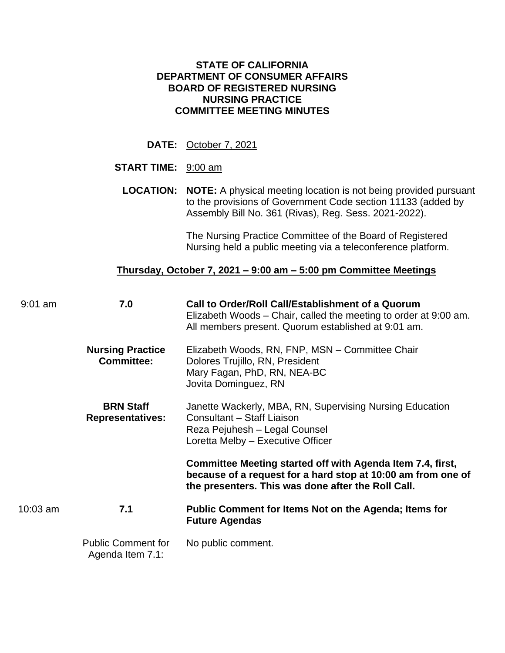## **STATE OF CALIFORNIA DEPARTMENT OF CONSUMER AFFAIRS BOARD OF REGISTERED NURSING NURSING PRACTICE COMMITTEE MEETING MINUTES**

**DATE:** October 7, 2021

## **START TIME:** 9:00 am

**LOCATION: NOTE:** A physical meeting location is not being provided pursuant to the provisions of Government Code section 11133 (added by Assembly Bill No. 361 (Rivas), Reg. Sess. 2021-2022).

> The Nursing Practice Committee of the Board of Registered Nursing held a public meeting via a teleconference platform.

## **Thursday, October 7, 2021 – 9:00 am – 5:00 pm Committee Meetings**

| $9:01$ am | 7.0                                           | Call to Order/Roll Call/Establishment of a Quorum<br>Elizabeth Woods – Chair, called the meeting to order at 9:00 am.<br>All members present. Quorum established at 9:01 am.     |  |  |  |  |
|-----------|-----------------------------------------------|----------------------------------------------------------------------------------------------------------------------------------------------------------------------------------|--|--|--|--|
|           | <b>Nursing Practice</b><br><b>Committee:</b>  | Elizabeth Woods, RN, FNP, MSN - Committee Chair<br>Dolores Trujillo, RN, President<br>Mary Fagan, PhD, RN, NEA-BC<br>Jovita Dominguez, RN                                        |  |  |  |  |
|           | <b>BRN Staff</b><br><b>Representatives:</b>   | Janette Wackerly, MBA, RN, Supervising Nursing Education<br>Consultant - Staff Liaison<br>Reza Pejuhesh - Legal Counsel<br>Loretta Melby - Executive Officer                     |  |  |  |  |
|           |                                               | Committee Meeting started off with Agenda Item 7.4, first,<br>because of a request for a hard stop at 10:00 am from one of<br>the presenters. This was done after the Roll Call. |  |  |  |  |
| 10:03 am  | 7.1                                           | Public Comment for Items Not on the Agenda; Items for<br><b>Future Agendas</b>                                                                                                   |  |  |  |  |
|           | <b>Public Comment for</b><br>Agenda Item 7.1: | No public comment.                                                                                                                                                               |  |  |  |  |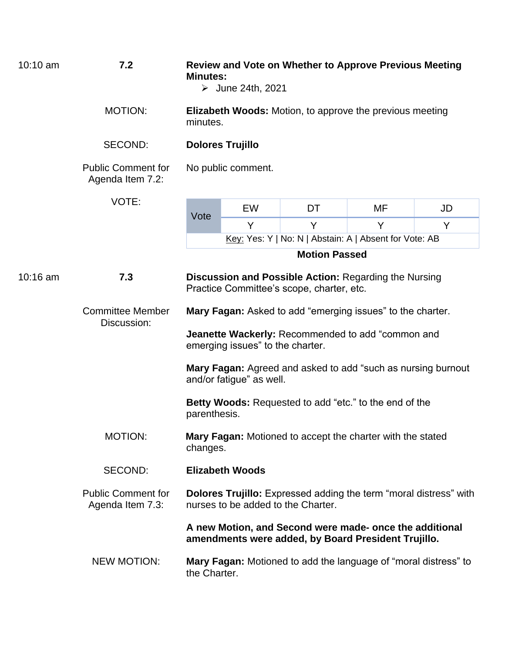| $10:10$ am | 7.2                                           | <b>Review and Vote on Whether to Approve Previous Meeting</b><br><b>Minutes:</b><br>$\triangleright$ June 24th, 2021<br><b>Elizabeth Woods:</b> Motion, to approve the previous meeting<br>minutes. |    |    |    |    |  |  |
|------------|-----------------------------------------------|-----------------------------------------------------------------------------------------------------------------------------------------------------------------------------------------------------|----|----|----|----|--|--|
|            | <b>MOTION:</b>                                |                                                                                                                                                                                                     |    |    |    |    |  |  |
|            | SECOND:                                       | <b>Dolores Trujillo</b>                                                                                                                                                                             |    |    |    |    |  |  |
|            | <b>Public Comment for</b><br>Agenda Item 7.2: | No public comment.                                                                                                                                                                                  |    |    |    |    |  |  |
|            | VOTE:                                         |                                                                                                                                                                                                     | EW | DT | MF | JD |  |  |
|            |                                               | Vote                                                                                                                                                                                                | Y  | Y  | Y  | Y  |  |  |
|            |                                               | Key: Yes: Y   No: N   Abstain: A   Absent for Vote: AB                                                                                                                                              |    |    |    |    |  |  |
|            |                                               | <b>Motion Passed</b>                                                                                                                                                                                |    |    |    |    |  |  |
| 10:16 am   | 7.3                                           | <b>Discussion and Possible Action: Regarding the Nursing</b><br>Practice Committee's scope, charter, etc.                                                                                           |    |    |    |    |  |  |
|            | <b>Committee Member</b><br>Discussion:        | Mary Fagan: Asked to add "emerging issues" to the charter.                                                                                                                                          |    |    |    |    |  |  |
|            |                                               | Jeanette Wackerly: Recommended to add "common and<br>emerging issues" to the charter.                                                                                                               |    |    |    |    |  |  |
|            |                                               | Mary Fagan: Agreed and asked to add "such as nursing burnout<br>and/or fatigue" as well.                                                                                                            |    |    |    |    |  |  |
|            |                                               | <b>Betty Woods:</b> Requested to add "etc." to the end of the<br>parenthesis.                                                                                                                       |    |    |    |    |  |  |
|            | <b>MOTION:</b>                                | Mary Fagan: Motioned to accept the charter with the stated<br>changes.                                                                                                                              |    |    |    |    |  |  |
|            | <b>SECOND:</b>                                | <b>Elizabeth Woods</b>                                                                                                                                                                              |    |    |    |    |  |  |
|            | <b>Public Comment for</b><br>Agenda Item 7.3: | <b>Dolores Trujillo:</b> Expressed adding the term "moral distress" with<br>nurses to be added to the Charter.                                                                                      |    |    |    |    |  |  |
|            |                                               | A new Motion, and Second were made- once the additional<br>amendments were added, by Board President Trujillo.                                                                                      |    |    |    |    |  |  |
|            | <b>NEW MOTION:</b>                            | Mary Fagan: Motioned to add the language of "moral distress" to<br>the Charter.                                                                                                                     |    |    |    |    |  |  |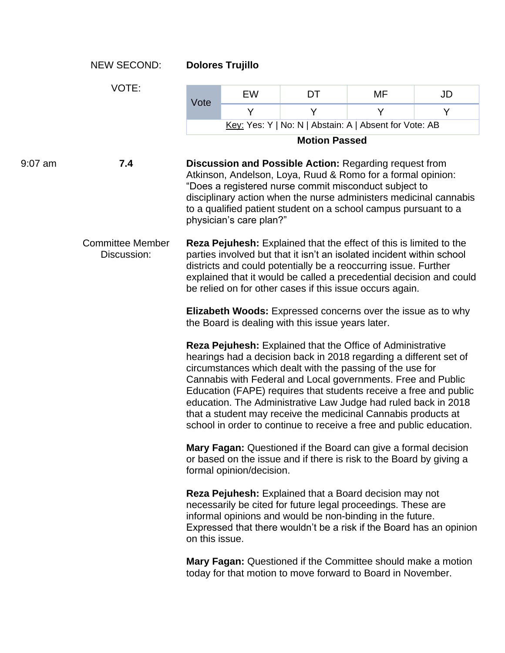|         | <b>NEW SECOND:</b>                     | <b>Dolores Trujillo</b>                                                                                                                                                                                                                                                                                                                                                                                                                                                                                                                     |    |                      |                                                                                                                             |    |  |  |
|---------|----------------------------------------|---------------------------------------------------------------------------------------------------------------------------------------------------------------------------------------------------------------------------------------------------------------------------------------------------------------------------------------------------------------------------------------------------------------------------------------------------------------------------------------------------------------------------------------------|----|----------------------|-----------------------------------------------------------------------------------------------------------------------------|----|--|--|
|         | VOTE:                                  |                                                                                                                                                                                                                                                                                                                                                                                                                                                                                                                                             | EW | DT                   | MF                                                                                                                          | JD |  |  |
|         |                                        | Vote                                                                                                                                                                                                                                                                                                                                                                                                                                                                                                                                        | Y  | Y                    | Y                                                                                                                           | Y  |  |  |
|         |                                        | Key: Yes: Y   No: N   Abstain: A   Absent for Vote: AB                                                                                                                                                                                                                                                                                                                                                                                                                                                                                      |    |                      |                                                                                                                             |    |  |  |
|         |                                        |                                                                                                                                                                                                                                                                                                                                                                                                                                                                                                                                             |    | <b>Motion Passed</b> |                                                                                                                             |    |  |  |
| 9:07 am | 7.4                                    | <b>Discussion and Possible Action: Regarding request from</b><br>Atkinson, Andelson, Loya, Ruud & Romo for a formal opinion:<br>"Does a registered nurse commit misconduct subject to<br>disciplinary action when the nurse administers medicinal cannabis<br>to a qualified patient student on a school campus pursuant to a<br>physician's care plan?"                                                                                                                                                                                    |    |                      |                                                                                                                             |    |  |  |
|         | <b>Committee Member</b><br>Discussion: | <b>Reza Pejuhesh:</b> Explained that the effect of this is limited to the<br>parties involved but that it isn't an isolated incident within school<br>districts and could potentially be a reoccurring issue. Further<br>explained that it would be called a precedential decision and could<br>be relied on for other cases if this issue occurs again.                                                                                                                                                                                    |    |                      |                                                                                                                             |    |  |  |
|         |                                        | Elizabeth Woods: Expressed concerns over the issue as to why<br>the Board is dealing with this issue years later.                                                                                                                                                                                                                                                                                                                                                                                                                           |    |                      |                                                                                                                             |    |  |  |
|         |                                        | Reza Pejuhesh: Explained that the Office of Administrative<br>hearings had a decision back in 2018 regarding a different set of<br>circumstances which dealt with the passing of the use for<br>Cannabis with Federal and Local governments. Free and Public<br>Education (FAPE) requires that students receive a free and public<br>education. The Administrative Law Judge had ruled back in 2018<br>that a student may receive the medicinal Cannabis products at<br>school in order to continue to receive a free and public education. |    |                      |                                                                                                                             |    |  |  |
|         |                                        | Mary Fagan: Questioned if the Board can give a formal decision<br>or based on the issue and if there is risk to the Board by giving a<br>formal opinion/decision.                                                                                                                                                                                                                                                                                                                                                                           |    |                      |                                                                                                                             |    |  |  |
|         |                                        | <b>Reza Pejuhesh:</b> Explained that a Board decision may not<br>necessarily be cited for future legal proceedings. These are<br>informal opinions and would be non-binding in the future.<br>Expressed that there wouldn't be a risk if the Board has an opinion<br>on this issue.                                                                                                                                                                                                                                                         |    |                      |                                                                                                                             |    |  |  |
|         |                                        |                                                                                                                                                                                                                                                                                                                                                                                                                                                                                                                                             |    |                      | Mary Fagan: Questioned if the Committee should make a motion<br>today for that motion to move forward to Board in November. |    |  |  |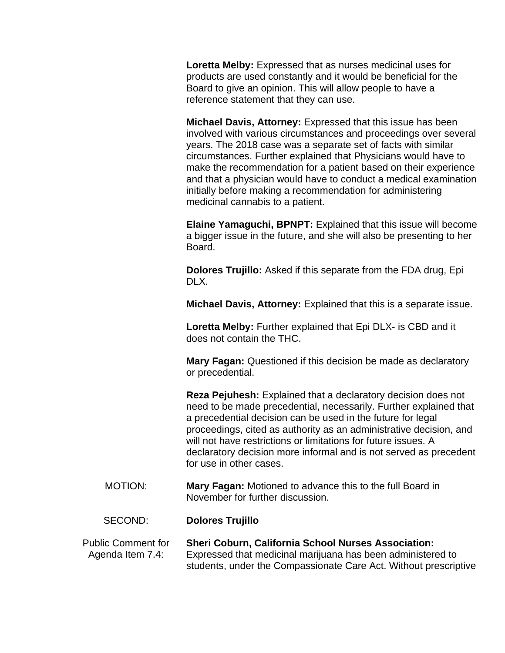**Loretta Melby:** Expressed that as nurses medicinal uses for products are used constantly and it would be beneficial for the Board to give an opinion. This will allow people to have a reference statement that they can use.

**Michael Davis, Attorney:** Expressed that this issue has been involved with various circumstances and proceedings over several years. The 2018 case was a separate set of facts with similar circumstances. Further explained that Physicians would have to make the recommendation for a patient based on their experience and that a physician would have to conduct a medical examination initially before making a recommendation for administering medicinal cannabis to a patient.

**Elaine Yamaguchi, BPNPT:** Explained that this issue will become a bigger issue in the future, and she will also be presenting to her Board.

**Dolores Trujillo:** Asked if this separate from the FDA drug, Epi DLX.

**Michael Davis, Attorney:** Explained that this is a separate issue.

**Loretta Melby:** Further explained that Epi DLX- is CBD and it does not contain the THC.

**Mary Fagan:** Questioned if this decision be made as declaratory or precedential.

**Reza Pejuhesh:** Explained that a declaratory decision does not need to be made precedential, necessarily. Further explained that a precedential decision can be used in the future for legal proceedings, cited as authority as an administrative decision, and will not have restrictions or limitations for future issues. A declaratory decision more informal and is not served as precedent for use in other cases.

MOTION: **Mary Fagan:** Motioned to advance this to the full Board in November for further discussion.

## SECOND: **Dolores Trujillo**

Public Comment for Agenda Item 7.4: **Sheri Coburn, California School Nurses Association:**  Expressed that medicinal marijuana has been administered to students, under the Compassionate Care Act. Without prescriptive